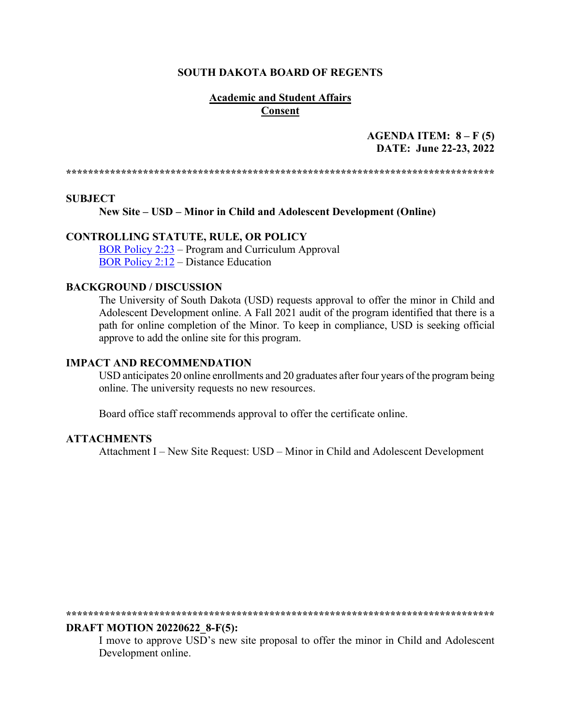### **SOUTH DAKOTA BOARD OF REGENTS**

### **Academic and Student Affairs Consent**

### AGENDA ITEM:  $8 - F(5)$ DATE: June 22-23, 2022

### **SUBJECT**

New Site – USD – Minor in Child and Adolescent Development (Online)

### **CONTROLLING STATUTE, RULE, OR POLICY**

BOR Policy 2:23 – Program and Curriculum Approval **BOR Policy 2:12 – Distance Education** 

### **BACKGROUND / DISCUSSION**

The University of South Dakota (USD) requests approval to offer the minor in Child and Adolescent Development online. A Fall 2021 audit of the program identified that there is a path for online completion of the Minor. To keep in compliance, USD is seeking official approve to add the online site for this program.

### **IMPACT AND RECOMMENDATION**

USD anticipates 20 online enrollments and 20 graduates after four years of the program being online. The university requests no new resources.

Board office staff recommends approval to offer the certificate online.

### **ATTACHMENTS**

Attachment I – New Site Request: USD – Minor in Child and Adolescent Development

#### **DRAFT MOTION 20220622 8-F(5):**

I move to approve USD's new site proposal to offer the minor in Child and Adolescent Development online.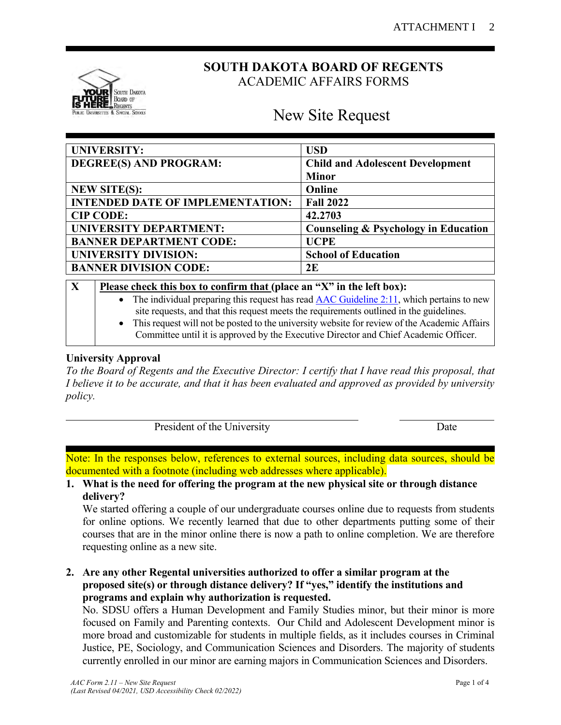

# **SOUTH DAKOTA BOARD OF REGENTS** ACADEMIC AFFAIRS FORMS

# New Site Request

| <b>UNIVERSITY:</b>                      | <b>USD</b>                              |
|-----------------------------------------|-----------------------------------------|
| DEGREE(S) AND PROGRAM:                  | <b>Child and Adolescent Development</b> |
|                                         | <b>Minor</b>                            |
| <b>NEW SITE(S):</b>                     | Online                                  |
| <b>INTENDED DATE OF IMPLEMENTATION:</b> | <b>Fall 2022</b>                        |
| <b>CIP CODE:</b>                        | 42.2703                                 |
| <b>UNIVERSITY DEPARTMENT:</b>           | Counseling & Psychology in Education    |
| <b>BANNER DEPARTMENT CODE:</b>          | <b>UCPE</b>                             |
| <b>UNIVERSITY DIVISION:</b>             | <b>School of Education</b>              |
| <b>BANNER DIVISION CODE:</b>            | 2E                                      |

| $\mathbf X$ | Please check this box to confirm that (place an "X" in the left box):                          |  |  |  |  |
|-------------|------------------------------------------------------------------------------------------------|--|--|--|--|
|             | • The individual preparing this request has read AAC Guideline $2:11$ , which pertains to new  |  |  |  |  |
|             | site requests, and that this request meets the requirements outlined in the guidelines.        |  |  |  |  |
|             | • This request will not be posted to the university website for review of the Academic Affairs |  |  |  |  |
|             | Committee until it is approved by the Executive Director and Chief Academic Officer.           |  |  |  |  |
|             |                                                                                                |  |  |  |  |

## **University Approval**

*To the Board of Regents and the Executive Director: I certify that I have read this proposal, that I believe it to be accurate, and that it has been evaluated and approved as provided by university policy.*

| President of the University | <b>J</b> ate |
|-----------------------------|--------------|
|                             |              |

Note: In the responses below, references to external sources, including data sources, should be documented with a footnote (including web addresses where applicable).

**1. What is the need for offering the program at the new physical site or through distance delivery?**

We started offering a couple of our undergraduate courses online due to requests from students for online options. We recently learned that due to other departments putting some of their courses that are in the minor online there is now a path to online completion. We are therefore requesting online as a new site.

**2. Are any other Regental universities authorized to offer a similar program at the proposed site(s) or through distance delivery? If "yes," identify the institutions and programs and explain why authorization is requested.**

No. SDSU offers a Human Development and Family Studies minor, but their minor is more focused on Family and Parenting contexts. Our Child and Adolescent Development minor is more broad and customizable for students in multiple fields, as it includes courses in Criminal Justice, PE, Sociology, and Communication Sciences and Disorders. The majority of students currently enrolled in our minor are earning majors in Communication Sciences and Disorders.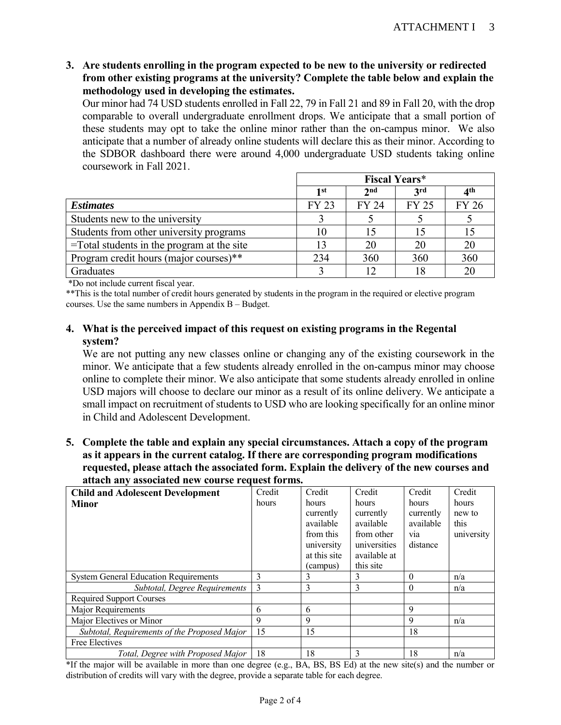**3. Are students enrolling in the program expected to be new to the university or redirected from other existing programs at the university? Complete the table below and explain the methodology used in developing the estimates.** 

Our minor had 74 USD students enrolled in Fall 22, 79 in Fall 21 and 89 in Fall 20, with the drop comparable to overall undergraduate enrollment drops. We anticipate that a small portion of these students may opt to take the online minor rather than the on-campus minor. We also anticipate that a number of already online students will declare this as their minor. According to the SDBOR dashboard there were around 4,000 undergraduate USD students taking online coursework in Fall 2021.

|                                               | <b>Fiscal Years*</b> |                 |              |                 |
|-----------------------------------------------|----------------------|-----------------|--------------|-----------------|
|                                               | 1 st                 | 2 <sub>nd</sub> | <b>3rd</b>   | 4 <sup>th</sup> |
| <b>Estimates</b>                              | <b>FY 23</b>         | <b>FY 24</b>    | <b>FY 25</b> | <b>FY 26</b>    |
| Students new to the university                |                      |                 |              |                 |
| Students from other university programs       |                      |                 |              | 15              |
| $=$ Total students in the program at the site |                      | 20              | 20           | 20              |
| Program credit hours (major courses)**        | 234                  | 360             | 360          | 360             |
| Graduates                                     |                      |                 | 18           | 20              |

\*Do not include current fiscal year.

\*\*This is the total number of credit hours generated by students in the program in the required or elective program courses. Use the same numbers in Appendix B – Budget.

### **4. What is the perceived impact of this request on existing programs in the Regental system?**

We are not putting any new classes online or changing any of the existing coursework in the minor. We anticipate that a few students already enrolled in the on-campus minor may choose online to complete their minor. We also anticipate that some students already enrolled in online USD majors will choose to declare our minor as a result of its online delivery. We anticipate a small impact on recruitment of students to USD who are looking specifically for an online minor in Child and Adolescent Development.

**5. Complete the table and explain any special circumstances. Attach a copy of the program as it appears in the current catalog. If there are corresponding program modifications requested, please attach the associated form. Explain the delivery of the new courses and attach any associated new course request forms.**

| <b>Child and Adolescent Development</b>      | Credit         | Credit                 | Credit                 | Credit                       | Credit             |
|----------------------------------------------|----------------|------------------------|------------------------|------------------------------|--------------------|
| <b>Minor</b>                                 | hours          | hours                  | hours                  | hours                        | hours              |
|                                              |                | currently              | currently<br>available | currently                    | new to             |
|                                              |                | available<br>from this | from other             | available                    | this<br>university |
|                                              |                | university             | universities           | V <sub>1</sub> a<br>distance |                    |
|                                              |                | at this site           | available at           |                              |                    |
|                                              |                | (campus)               | this site              |                              |                    |
| <b>System General Education Requirements</b> | 3              | 3                      | 3                      | $\boldsymbol{0}$             | n/a                |
| Subtotal, Degree Requirements                | $\overline{3}$ | 3                      | 3                      | $\theta$                     | n/a                |
| <b>Required Support Courses</b>              |                |                        |                        |                              |                    |
| Major Requirements                           | 6              | 6                      |                        | 9                            |                    |
| Major Electives or Minor                     | 9              | 9                      |                        | 9                            | n/a                |
| Subtotal, Requirements of the Proposed Major | 15             | 15                     |                        | 18                           |                    |
| Free Electives                               |                |                        |                        |                              |                    |
| Total, Degree with Proposed Major            | 18             | 18                     | 3                      | 18                           | n/a                |

\*If the major will be available in more than one degree (e.g., BA, BS, BS Ed) at the new site(s) and the number or distribution of credits will vary with the degree, provide a separate table for each degree.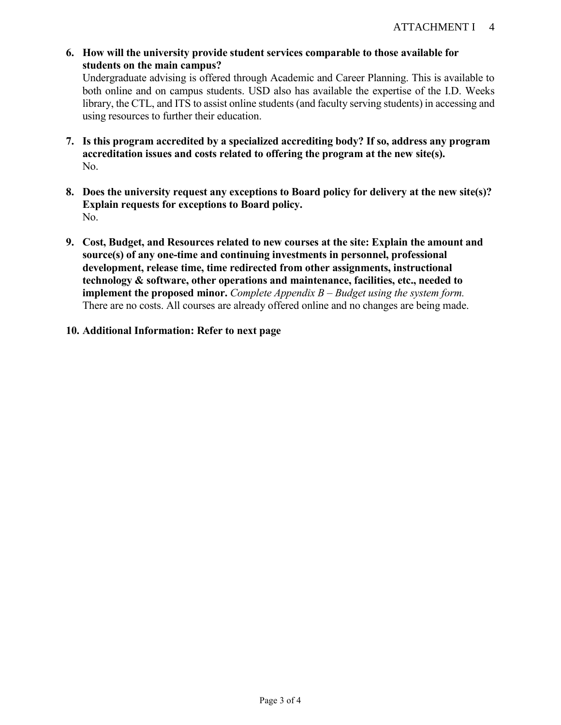**6. How will the university provide student services comparable to those available for students on the main campus?**

Undergraduate advising is offered through Academic and Career Planning. This is available to both online and on campus students. USD also has available the expertise of the I.D. Weeks library, the CTL, and ITS to assist online students (and faculty serving students) in accessing and using resources to further their education.

- **7. Is this program accredited by a specialized accrediting body? If so, address any program accreditation issues and costs related to offering the program at the new site(s).** No.
- **8. Does the university request any exceptions to Board policy for delivery at the new site(s)? Explain requests for exceptions to Board policy.** No.
- **9. Cost, Budget, and Resources related to new courses at the site: Explain the amount and source(s) of any one-time and continuing investments in personnel, professional development, release time, time redirected from other assignments, instructional technology & software, other operations and maintenance, facilities, etc., needed to implement the proposed minor.** *Complete Appendix B – Budget using the system form.* There are no costs. All courses are already offered online and no changes are being made.
- **10. Additional Information: Refer to next page**